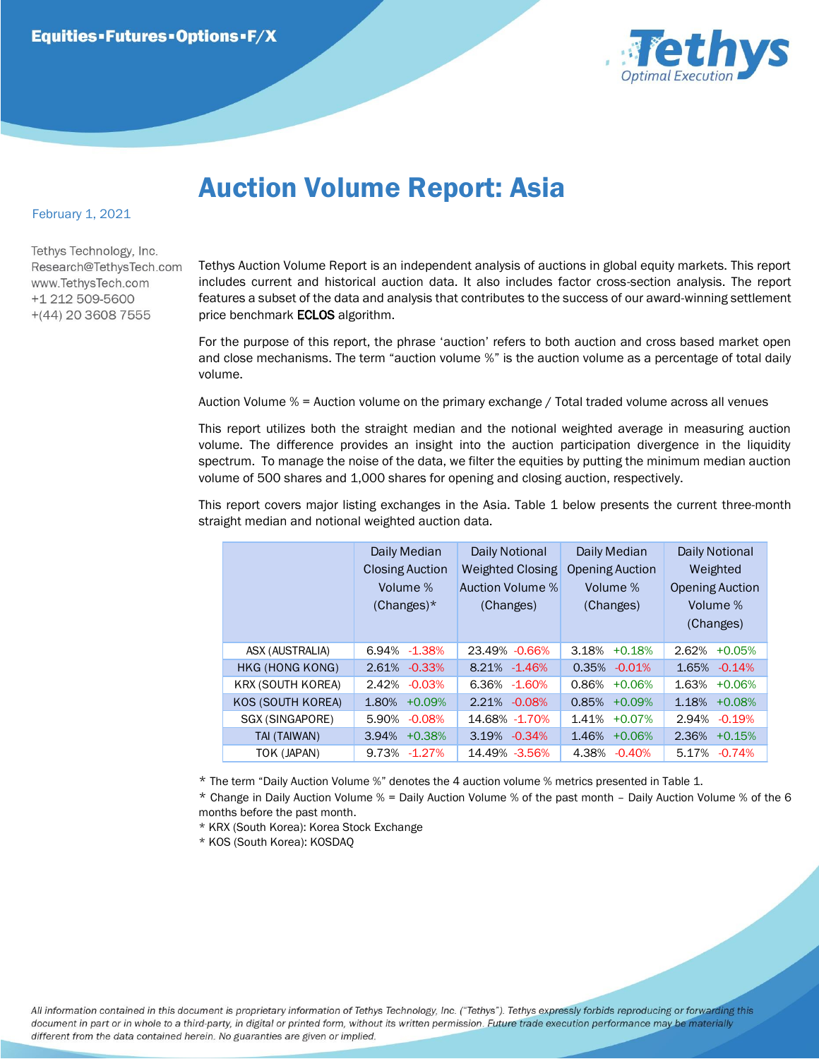

## Auction Volume Report: Asia

## February 1, 2021

Tethys Technology, Inc. Research@TethysTech.com www.TethvsTech.com +1 212 509-5600  $+(44)$  20 3608 7555

Tethys Auction Volume Report is an independent analysis of auctions in global equity markets. This report includes current and historical auction data. It also includes factor cross-section analysis. The report features a subset of the data and analysis that contributes to the success of our award-winning settlement price benchmark **ECLOS** algorithm.

For the purpose of this report, the phrase 'auction' refers to both auction and cross based market open and close mechanisms. The term "auction volume %" is the auction volume as a percentage of total daily volume.

Auction Volume % = Auction volume on the primary exchange / Total traded volume across all venues

This report utilizes both the straight median and the notional weighted average in measuring auction volume. The difference provides an insight into the auction participation divergence in the liquidity spectrum. To manage the noise of the data, we filter the equities by putting the minimum median auction volume of 500 shares and 1,000 shares for opening and closing auction, respectively.

This report covers major listing exchanges in the Asia. Table 1 below presents the current three-month straight median and notional weighted auction data.

|  |                          | Daily Median<br><b>Closing Auction</b><br>Volume %<br>$(Changes)^*$ | Daily Notional<br><b>Weighted Closing</b><br>Auction Volume %<br>(Changes) | Daily Median<br><b>Opening Auction</b><br>Volume %<br>(Changes) | Daily Notional<br>Weighted<br><b>Opening Auction</b><br>Volume %<br>(Changes) |
|--|--------------------------|---------------------------------------------------------------------|----------------------------------------------------------------------------|-----------------------------------------------------------------|-------------------------------------------------------------------------------|
|  | ASX (AUSTRALIA)          | $-1.38%$<br>6.94%                                                   | 23.49% - 0.66%                                                             | 3.18%<br>$+0.18%$                                               | 2.62%<br>$+0.05%$                                                             |
|  | HKG (HONG KONG)          | $-0.33%$<br>2.61%                                                   | 8.21%<br>$-1.46%$                                                          | 0.35%<br>$-0.01%$                                               | 1.65%<br>$-0.14%$                                                             |
|  | <b>KRX (SOUTH KOREA)</b> | 2.42%<br>$-0.03%$                                                   | 6.36%<br>$-1.60\%$                                                         | 0.86%<br>$+0.06%$                                               | 1.63%<br>$+0.06%$                                                             |
|  | KOS (SOUTH KOREA)        | 1.80%<br>$+0.09%$                                                   | 2.21%<br>$-0.08%$                                                          | 0.85%<br>$+0.09%$                                               | 1.18%<br>$+0.08%$                                                             |
|  | SGX (SINGAPORE)          | 5.90%<br>$-0.08%$                                                   | 14.68% -1.70%                                                              | 1.41%<br>$+0.07%$                                               | 2.94%<br>$-0.19%$                                                             |
|  | TAI (TAIWAN)             | $+0.38%$<br>3.94%                                                   | $-0.34%$<br>3.19%                                                          | 1.46%<br>$+0.06%$                                               | 2.36%<br>$+0.15%$                                                             |
|  | TOK (JAPAN)              | 9.73%<br>$-1.27%$                                                   | 14.49% -3.56%                                                              | 4.38%<br>$-0.40%$                                               | 5.17%<br>$-0.74%$                                                             |

\* The term "Daily Auction Volume %" denotes the 4 auction volume % metrics presented in Table 1.

\* Change in Daily Auction Volume % = Daily Auction Volume % of the past month – Daily Auction Volume % of the 6 months before the past month.

\* KRX (South Korea): Korea Stock Exchange

\* KOS (South Korea): KOSDAQ

All information contained in this document is proprietary information of Tethys Technology, Inc. ("Tethys"). Tethys expressly forbids reproducing or forwarding this document in part or in whole to a third-party, in digital or printed form, without its written permission. Future trade execution performance may be materially different from the data contained herein. No guaranties are given or implied.